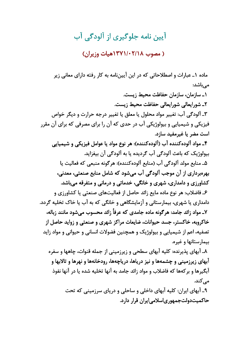## آيين نامه جلوگيري از آلودگي آب

( مصوب ۲/۱۸-/۱۳۷۱هیات وزیران)

ماده ۱ـ عبارات و اصطلاحاتی که در این آییننامه به کار رفته دارای معانی زیر مے باشد: ١ـ سازمان، سازمان حفاظت محيط زيست. ٢ـ شورايعالى شورايعالى حفاظت محيط زيست. ٣ـ آلودگي آب: تغيير مواد محلول يا معلق يا تغيير درجه حرارت و ديگر خواص فیزیکی و شیمیایی و بیولوژیکی آب در حدی که آن را برای مصرفی که برای آن مقرر است مضر یا غیرمفید سازد. ۴ـ مواد آلوده كننده آب (آلوده كننده): هر نوع مواد يا عوامل فيزيكي و شيميايي بیولوژیک که باعث آلودگی آب گردیده یا به آلودگی آن بیفزاید. ۵ـ منابع مولد آلودگي آب (منابع آلوده كننده): هرگونه منبعي كه فعاليت يا بهرهبرداري از آن موجب آلودگي آب ميشود كه شامل منابع صنعتي، معدني، کشاورزی و دامداری، شهری و خانگی، خدماتی و درمانی و متفرقه می باشد. ۶ـ فاضلاب: هر نوع ماده مایع زائد حاصل از فعالیتهای صنعتی یا کشاورزی و دامداری یا شهری، بیمارستانی و آزمایشگاهی و خانگی که به آب یا خاک تخلیه گردد. ۷ـ مواد زائد جامد: هر گونه ماده جامدی که عرفاً زائد محسوب میشود مانند زباله، خاکروبه، خاکستر، جسد حیوانات، ضایعات مراکز شهری و صنعتی و زواید حاصل از تصفیه، اعم از شیمیایی و بیولوژیک و همچنین فضولات انسانی و حیوانی و مواد زاید بيمارستانها و غيره. ۸ـ آبهای پذیرنده: کلیه آبهای سطحی و زیرزمینی از جمله قنوات، چاهها و سفره آبهای زیرزمینی و چشمهها و نیز دریاها، دریاچهها، رودخانهها و نهرها و تالابها و آبگیرها و برکهها که فاضلاب و مواد زائد جامد به آنها تخلیه شده یا در آنها نفوذ مے کند. ۹\_ آبهای ایران: کلیه آبهای داخلی و ساحلی و دریای سرزمینی که تحت حاکمیتدولتجمهوریاسلامیایران قرار دارد.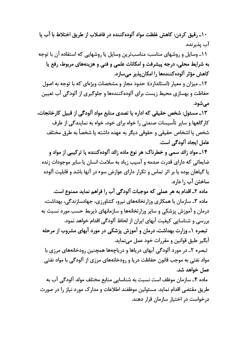١٠\_ رقيق كردن: كاهش غلظت مواد آلودهكننده در فاضلاب از طريق اختلاط با آب يا آب پذيرنده.

۱۱ـ وسایل و روشهای مناسب: مناسبترین وسایل یا روشهایی که استفاده آن با توجه به شرايط محلي، درجه پيشرفت و امكانات علمي و فني و هزينههاي مربوط، رفع يا کاهش مؤثر آلودهکنندهها را امکانپذیر میسازد.

١٢ـ ميزان و معيار (استاندارد): حدود مجاز و مشخصات ويژهاي كه با توجه به اصول حفاظت و بهسازی محیط زیست برای آلودهکنندهها و جلوگیری از آلودگی آب تعیین مے شود.

۱۳ـ مسئول: شخص حقیقی که اداره یا تصدی منابع مواد آلودگی از قبیل کارخانجات، کار گاهها و سایر تأسیسات صنعتی را خواه برای خود، خواه به نمایندگی از طرف شخص يا اشخاص حقيقي و حقوقي ديگر به عهده داشته يا شخصاً به طرق مختلف عامل ایجاد آلودگی است.

۱۴ـ مواد زائد سمي و خطرناک: هر نوع ماده زائد آلوده کننده یا تر کیبی از مواد و ضایعاتی که دارای قدرت صدمه و آسیب زیاد به سلامت انسان یا سایر موجودات زنده یا گیاهان بوده یا بر اثر تماس و تکرار دارای عوارض سوء در آنها باشد و قابلیت آلوده ساختن آب ,ا دارد.

ماده ٢ـ اقدام به هر عملي كه موجبات آلودگي آب را فراهم نمايد ممنوع است. ماده ۳ـ سازمان با همکاری وزارتخانههای نیرو، کشاورزی، جهادسازندگی، بهداشت، درمان و آموزش پزشکی و سایر وزارتخانهها و سازمانهای ذیربط حسب مورد نسبت به بررسی و شناسایی کیفیت آبهای ایران از لحاظ آلودگی اقدام خواهد نمود. تبصره ۱ـ وزارت بهداشت، درمان و آموزش پزشکی در مورد آبهای مشروب از مرحله آبگير طبق قوانين و مقررات خود عمل مي نمايد. تبصره ٢ـ در مورد آلودگی آبهای دریاها و دریاچهها همچنین رودخانههای مرزی با

مواد نفتی به موجب قانون حفاظت دریا و رودخانههای مرزی از آلودگی با مواد نفتی عمل خواهد شد.

ماده ۴ـ سازمان موظف است نسبت به شناسايي منابع مختلف مولد آلودگي آب به طریق مقتضی اقدام نماید. مسئولین موظفند اطلاعات و مدارک مورد نیاز را در صورت درخواست در اختیار سازمان قرار دهند.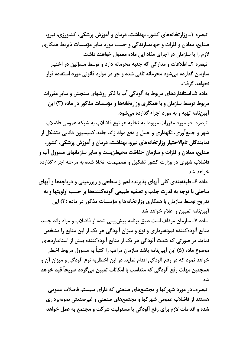تبصره ۱ـ وزار تخانههای کشور، بهداشت، درمان و آموزش پزشکی، کشاورزی، نیرو، صنایع، معادن و فلزات و جهادسازندگی و حسب مورد سایر مؤسسات ذیربط همکاری لازم را با سازمان در اجرای مفاد این ماده معمول خواهند داشت. تبصره ٢ـ اطلاعات و مداركي كه جنبه محرمانه دارد و توسط مسؤلين در اختيار سازمان گذارده می شود محرمانه تلقی شده و جز در موارد قانونی مورد استفاده قرار نخواهد گرفت.

ماده ۵ـ استانداردهای مربوط به آلودگی آب با ذکر روشهای سنجش و سایر مقررات مربوط توسط سازمان و با همکاری وزارتخانهها و مؤسسات مذکور در ماده (۳) این آییننامه تهیه و به مورد اجراء گذارده میشود.

تبصره\_ در مورد مقررات مربوط به تخليه هر نوع فاضلاب به شبكه عمومى فاضلاب شهر و جمعآوری، نگهداری و حمل و دفع مواد زائد جامد کمیسیون دائمی متشکل از نمایندگان تامالاختیار وزارتخانههای نیرو، بهداشت، درمان و آموزش پزشکی، کشور، صنایع، معادن و فلزات و سازمان حفاظت محیطزیست و سایر سازمانهای مسوول آب و فاضلاب شهری در وزارت کشور تشکیل و تصمیمات اتخاذ شده به مرحله اجراء گذارده خواهد شد.

ماده ۶ـ طبقهبندي كلي آبهاي پذيرنده اعم از سطحي و زيرزميني و درياچهها و آبهاي ساحلي با توجه به قدرت جذب و تصفيه طبيعي آلودهكنندهها بر حسب اولويتها و به تدریج توسط سازمان با همکاری وزارتخانهها و مؤسسات مذکور در ماده (۳) این آيين;نامه تعيين و اعلام خواهد شد.

ماده ۷ـ سازمان موظف است طبق برنامه پیشبینی شده از فاضلاب و مواد زائد جامد منابع آلوده کننده نمونهبرداری و نوع و میزان آلودگی هر یک از این منابع را مشخص نماید. در صورتی که شدت آلودگی هر یک از منابع آلودهکننده بیش از استانداردهای موضوع ماده (۵) این آپیننامه باشد سازمان مراتب ۱٫ کتباً به مسوول مربوط اخطار خواهد نمود که در رفع آلودگی اقدام نماید. در این اخطاریه نوع آلودگی و میزان آن و همچنین مهلت رفع آلودگی که متناسب با امکانات تعیین می گردد صریحاً قید خواهد شد.

تبصرهـ در مورد شهر کها و مجتمعهای صنعتی که دارای سیستم فاضلاب عمومی هستند از فاضلاب عمومی شهرکها و مجتمعهای صنعتی و غیرصنعتی نمونهبرداری شده و اقدامات لازم برای رفع آلودگی با مسئولیت شرکت و مجتمع به عمل خواهد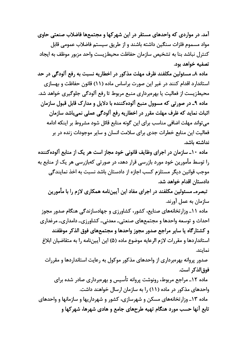آمد. در مواردی که واحدهای مستقر در این شهر کها و مجتمعها فاضلاب صنعتی حاوی مواد مسموم فلزات سنگین داشته باشند و از طریق سیستم فاضلاب عمومی قابل كنترل نباشد بنا به تشخيص سازمان حفاظت محيطزيست واحد مزبور موظف به ايجاد تصفيه خواهد بود.

ماده ٨ـ مسئولين مكلفند ظرف مهلت مذكور در اخطاريه نسبت به رفع آلودگي در حد استاندارد اقدام کنند در غیر این صورت براساس ماده (۱۱) قانون حفاظت و بهسازی محیطزیست از فعالیت یا بهرهبرداری منبع مربوط تا رفع آلودگی جلوگیری خواهد شد. ماده ۹ـ در صورتي كه مسوول منبع آلودهكننده با دلايل و مدارك قابل قبول سازمان اثبات نماید که ظرف مهلت مقرر در اخطاریه رفع آلودگی عملی نمیباشد سازمان می تواند مهلت اضافی مناسب برای این گونه منابع قائل شود مشروط بر اینکه ادامه فعالیت این منابع خطرات جدی برای سلامت انسان و سایر موجودات زنده در بر نداشته ىاشد.

ماده ۱۰ـ سازمان در اجرای وظایف قانونی خود مجاز است هر یک از منابع آلودهکننده را توسط مأمورین خود مورد بازرسی قرار دهد، در صورتی کهبازرسی هر یک از منابع به موجب قوانین دیگر مستلزم کسب اجازه از دادستان باشد نسبت به اخذ نمایندگی دادستان اقدام خواهد شد.

تبصرهـ مسئولين مكلفند در اجراي مفاد اين آييننامه همكاري لازم را با مأمورين سازمان به عمل آورند.

ماده ۱۱ـ وزار تخانههای صنایع، کشور، کشاورزی و جهادسازندگی هنگام صدور مجوز احداث و توسعه واحدها و مجتمعهای صنعتی۔ معدنی۔ کشاورزی۔ دامداری۔ مرغداری و کشتار گاه یا سایر مراجع صدور مجوز واحدها و مجتمعهای فوق الذکر موظفند استانداردها و مقررات لازم الرعايه موضوع ماده (۵) اين آييننامه را به متقاضيان ابلاغ نمایند.

صدور پروانه بهروبرداری از واحدهای مذکور موکول به رعایت استانداردها و مقررات فوق|لذكر است.

ماده ۱۲ـ مراجع مربوط، رونوشت پروانه تأسیس و بهرهبرداری صادر شده برای واحدهای مذکور در ماده (۱۱) را به سازمان ارسال خواهند داشت. ماده ۱۳ـ وزارتخانههای مسکن و شهرسازی، کشور و شهرداریها و سازمانها و واحدهای تابع آنها حسب مورد هنگام تهیه طرحهای جامع و هادی شهرها، شهرکها و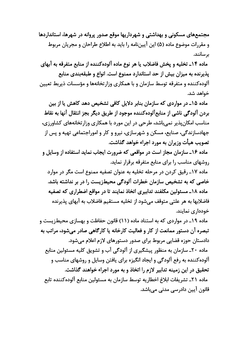مجتمعهای مسکونی و بهداشتی و شهرداریها موقع صدور پروانه در شهرها، استانداردها و مقررات موضوع ماده (۵) این آییننامه را باید به اطلاع طراحان و مجریان مربوط بر سانند.

ماده ۱۴ـ تخلیه و پخش فاضلاب یا هر نوع ماده آلودهکننده از منابع متفرقه به آبهای يذيرنده به ميزان بيش از حد استاندارد ممنوع است. انواع و طبقهبندي منابع آلوده کننده و متفرقه توسط سازمان و با همکاری وزارتخانهها و مؤسسات ذیربط تعیین خواهد شد.

ماده ۱۵ـ در مواردی که سازمان بنابر دلایل کافی تشخیص دهد کاهش یا از بین بردن آلودگی ناشی از منابعآلوده کننده موجود از طریق دیگر بجز انتقال آنها به نقاط مناسب امکانپذیر نمیباشد، طرحی در این مورد با همکاری وزارتخانههای کشاورزی، جهادسازندگی، صنایع، مسکن و شهرسازی، نیرو و کار و اموراجتماعی تهیه و پس از تصویب هیأت وزیران به مورد اجراء خواهد گذاشت.

ماده ۱۶ـ سازمان مجاز است در مواقعی که ضرورت ایجاب نماید استفاده از وسایل و روشهای مناسب را برای منابع متفرقه برقرار نماید.

ماده ۱۷ـ رقیق کردن در مرحله تخلیه به عنوان تصفیه ممنوع است مگر در موارد خاصی که به تشخیص سازمان خطرات آلودگی محیطزیست را در بر نداشته باشد. ماده ۱۸ـ مسئولین مکلفند تدابیری اتخاذ نمایند تا در مواقع اضطراری که تصفیه فاضلابها به هر علتي متوقف مي شود از تخليه مستقيم فاضلاب به آبهاي پذيرنده خودداری نمایند.

ماده ۱۹ـ در مواردی که به استناد ماده (۱۱) قانون حفاظت و بهسازی محیطزیست و تبصره آن دستور ممانعت از کار و فعالیت کارخانه یا کارگاهی صادر میشود، مراتب به دادستان حوزہ قضایے مربوط برای صدور دستورهای لازم اعلام مے شود. ماده ۲۰ـ سازمان به منظور پیشگیری از آلودگی آب و تشویق کلیه مسئولین منابع آلوده کننده به رفع آلودگی و ایجاد انگیزه برای یافتن وسایل و روشهای مناسب و تحقیق در این زمینه تدابیر لازم را اتخاذ و به مورد اجراء خواهند گذاشت. ماده ٢١ـ تشريفات ابلاغ اخطاريه توسط سازمان به مسئولين منابع آلوده كننده تابع قانون آپین دادرسے مدنی مے،باشد.